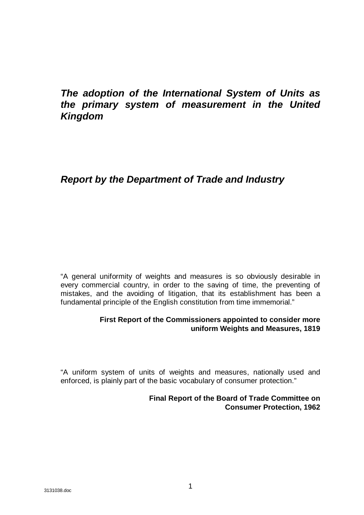# *The adoption of the International System of Units as the primary system of measurement in the United Kingdom*

# *Report by the Department of Trade and Industry*

"A general uniformity of weights and measures is so obviously desirable in every commercial country, in order to the saving of time, the preventing of mistakes, and the avoiding of litigation, that its establishment has been a fundamental principle of the English constitution from time immemorial."

### **First Report of the Commissioners appointed to consider more uniform Weights and Measures, 1819**

"A uniform system of units of weights and measures, nationally used and enforced, is plainly part of the basic vocabulary of consumer protection."

### **Final Report of the Board of Trade Committee on Consumer Protection, 1962**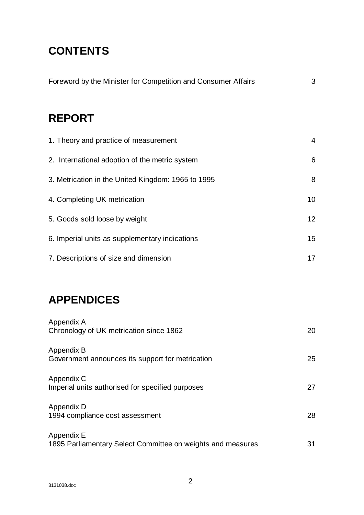# **CONTENTS**

| Foreword by the Minister for Competition and Consumer Affairs | 3               |
|---------------------------------------------------------------|-----------------|
| <b>REPORT</b>                                                 |                 |
| 1. Theory and practice of measurement                         | 4               |
| 2. International adoption of the metric system                | 6               |
| 3. Metrication in the United Kingdom: 1965 to 1995            | 8               |
| 4. Completing UK metrication                                  | 10 <sup>°</sup> |
| 5. Goods sold loose by weight                                 | 12 <sup>2</sup> |
| 6. Imperial units as supplementary indications                | 15              |
| 7. Descriptions of size and dimension                         | 17              |

# **APPENDICES**

| Appendix A<br>Chronology of UK metrication since 1862                     | 20 |
|---------------------------------------------------------------------------|----|
| Appendix B<br>Government announces its support for metrication            | 25 |
| Appendix C<br>Imperial units authorised for specified purposes            | 27 |
| Appendix D<br>1994 compliance cost assessment                             | 28 |
| Appendix E<br>1895 Parliamentary Select Committee on weights and measures | 31 |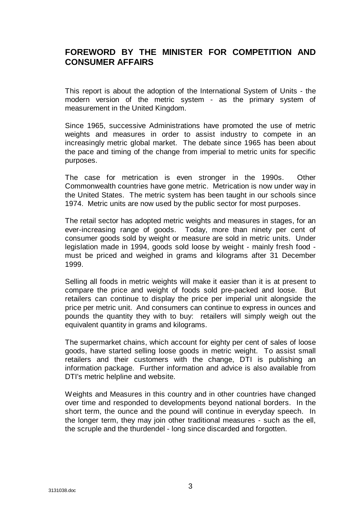### **FOREWORD BY THE MINISTER FOR COMPETITION AND CONSUMER AFFAIRS**

This report is about the adoption of the International System of Units - the modern version of the metric system - as the primary system of measurement in the United Kingdom.

Since 1965, successive Administrations have promoted the use of metric weights and measures in order to assist industry to compete in an increasingly metric global market. The debate since 1965 has been about the pace and timing of the change from imperial to metric units for specific purposes.

The case for metrication is even stronger in the 1990s. Other Commonwealth countries have gone metric. Metrication is now under way in the United States. The metric system has been taught in our schools since 1974. Metric units are now used by the public sector for most purposes.

The retail sector has adopted metric weights and measures in stages, for an ever-increasing range of goods. Today, more than ninety per cent of consumer goods sold by weight or measure are sold in metric units. Under legislation made in 1994, goods sold loose by weight - mainly fresh food must be priced and weighed in grams and kilograms after 31 December 1999.

Selling all foods in metric weights will make it easier than it is at present to compare the price and weight of foods sold pre-packed and loose. But retailers can continue to display the price per imperial unit alongside the price per metric unit. And consumers can continue to express in ounces and pounds the quantity they with to buy: retailers will simply weigh out the equivalent quantity in grams and kilograms.

The supermarket chains, which account for eighty per cent of sales of loose goods, have started selling loose goods in metric weight. To assist small retailers and their customers with the change, DTI is publishing an information package. Further information and advice is also available from DTI's metric helpline and website.

Weights and Measures in this country and in other countries have changed over time and responded to developments beyond national borders. In the short term, the ounce and the pound will continue in everyday speech. In the longer term, they may join other traditional measures - such as the ell, the scruple and the thurdendel - long since discarded and forgotten.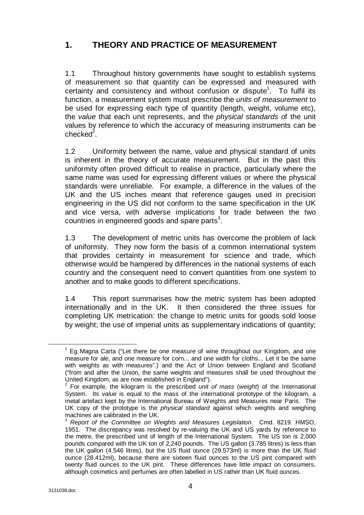# **1. THEORY AND PRACTICE OF MEASUREMENT**

1.1 Throughout history governments have sought to establish systems of measurement so that quantity can be expressed and measured with certainty and consistency and without confusion or dispute<sup>1</sup>. To fulfil its function, a measurement system must prescribe the *units of measurement* to be used for expressing each type of quantity (length, weight, volume etc), the *value* that each unit represents, and the *physical standards* of the unit values by reference to which the accuracy of measuring instruments can be  $checked<sup>2</sup>$ .

1.2 Uniformity between the name, value and physical standard of units is inherent in the theory of accurate measurement. But in the past this uniformity often proved difficult to realise in practice, particularly where the same name was used for expressing different values or where the physical standards were unreliable. For example, a difference in the values of the UK and the US inches meant that reference gauges used in precision engineering in the US did not conform to the same specification in the UK and vice versa, with adverse implications for trade between the two countries in engineered goods and spare parts<sup>3</sup>.

1.3 The development of metric units has overcome the problem of lack of uniformity. They now form the basis of a common international system that provides certainty in measurement for science and trade, which otherwise would be hampered by differences in the national systems of each country and the consequent need to convert quantities from one system to another and to make goods to different specifications.

1.4 This report summarises how the metric system has been adopted internationally and in the UK. It then considered the three issues for completing UK metrication: the change to metric units for goods sold loose by weight; the use of imperial units as supplementary indications of quantity;

 $1$  Eg Magna Carta ("Let there be one measure of wine throughout our Kingdom, and one measure for ale, and one measure for corn... and one width for cloths... Let it be the same with weights as with measures".) and the Act of Union between England and Scotland ("from and after the Union, the same weights and measures shall be used throughout the United Kingdom, as are now established in England").

<sup>2</sup> For example, the kilogram is the prescribed *unit of mass* (*weight*) of the International System. Its *value* is equal to the mass of the international prototype of the kilogram, a metal artefact kept by the International Bureau of Weights and Measures near Paris. The UK copy of the prototype is the *physical standard* against which weights and weighing machines are calibrated in the UK.

<sup>3</sup> *Report of the Committee on Weights and Measures Legislation*. Cmd. 8219. HMSO, 1951. The discrepancy was resolved by re-valuing the UK and US yards by reference to the metre, the prescribed unit of length of the International System. The US ton is 2,000 pounds compared with the UK ton of 2,240 pounds. The US gallon (3.785 litres) is less than the UK gallon (4.546 litres), but the US fluid ounce (29.573ml) is more than the UK fluid ounce (28.412ml), because there are sixteen fluid ounces to the US pint compared with twenty fluid ounces to the UK pint. These differences have little impact on consumers, although cosmetics and perfumes are often labelled in US rather than UK fluid ounces.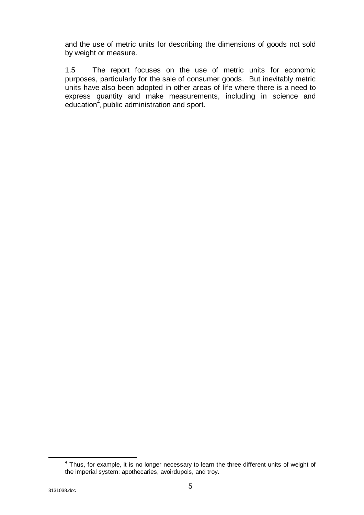and the use of metric units for describing the dimensions of goods not sold by weight or measure.

1.5 The report focuses on the use of metric units for economic purposes, particularly for the sale of consumer goods. But inevitably metric units have also been adopted in other areas of life where there is a need to express quantity and make measurements, including in science and education $4$ , public administration and sport.

 $4$  Thus, for example, it is no longer necessary to learn the three different units of weight of the imperial system: apothecaries, avoirdupois, and troy.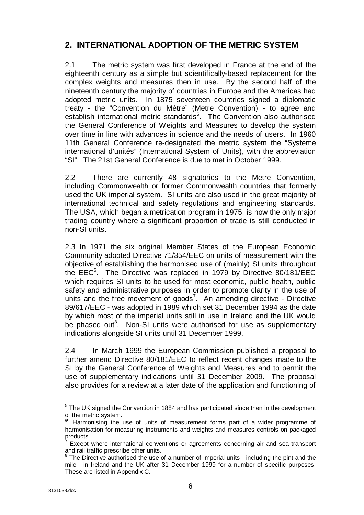## **2. INTERNATIONAL ADOPTION OF THE METRIC SYSTEM**

2.1 The metric system was first developed in France at the end of the eighteenth century as a simple but scientifically-based replacement for the complex weights and measures then in use. By the second half of the nineteenth century the majority of countries in Europe and the Americas had adopted metric units. In 1875 seventeen countries signed a diplomatic treaty - the "Convention du Mètre" (Metre Convention) - to agree and establish international metric standards<sup>5</sup>. The Convention also authorised the General Conference of Weights and Measures to develop the system over time in line with advances in science and the needs of users. In 1960 11th General Conference re-designated the metric system the "Système international d'unités" (International System of Units), with the abbreviation "SI". The 21st General Conference is due to met in October 1999.

2.2 There are currently 48 signatories to the Metre Convention, including Commonwealth or former Commonwealth countries that formerly used the UK imperial system. SI units are also used in the great majority of international technical and safety regulations and engineering standards. The USA, which began a metrication program in 1975, is now the only major trading country where a significant proportion of trade is still conducted in non-SI units.

2.3 In 1971 the six original Member States of the European Economic Community adopted Directive 71/354/EEC on units of measurement with the objective of establishing the harmonised use of (mainly) SI units throughout the EEC<sup>6</sup>. The Directive was replaced in 1979 by Directive 80/181/EEC which requires SI units to be used for most economic, public health, public safety and administrative purposes in order to promote clarity in the use of units and the free movement of goods<sup>7</sup>. An amending directive - Directive 89/617/EEC - was adopted in 1989 which set 31 December 1994 as the date by which most of the imperial units still in use in Ireland and the UK would be phased out<sup>8</sup>. Non-SI units were authorised for use as supplementary indications alongside SI units until 31 December 1999.

2.4 In March 1999 the European Commission published a proposal to further amend Directive 80/181/EEC to reflect recent changes made to the SI by the General Conference of Weights and Measures and to permit the use of supplementary indications until 31 December 2009. The proposal also provides for a review at a later date of the application and functioning of

 $<sup>5</sup>$  The UK signed the Convention in 1884 and has participated since then in the development</sup> of the metric system.

 $66$  Harmonising the use of units of measurement forms part of a wider programme of harmonisation for measuring instruments and weights and measures controls on packaged products.

Except where international conventions or agreements concerning air and sea transport and rail traffic prescribe other units.

 $8$  The Directive authorised the use of a number of imperial units - including the pint and the mile - in Ireland and the UK after 31 December 1999 for a number of specific purposes. These are listed in Appendix C.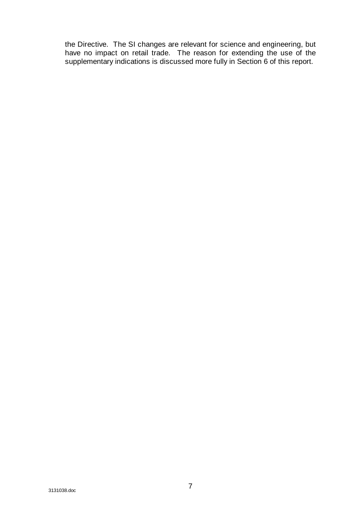the Directive. The SI changes are relevant for science and engineering, but have no impact on retail trade. The reason for extending the use of the supplementary indications is discussed more fully in Section 6 of this report.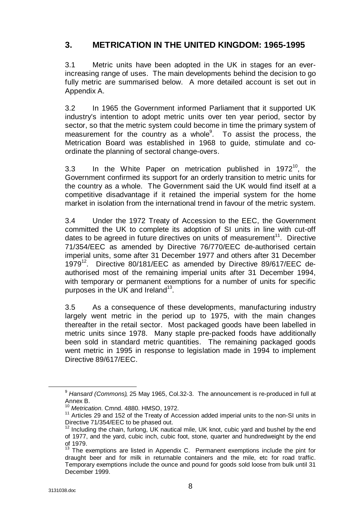### **3. METRICATION IN THE UNITED KINGDOM: 1965-1995**

3.1 Metric units have been adopted in the UK in stages for an everincreasing range of uses. The main developments behind the decision to go fully metric are summarised below. A more detailed account is set out in Appendix A.

3.2 In 1965 the Government informed Parliament that it supported UK industry's intention to adopt metric units over ten year period, sector by sector, so that the metric system could become in time the primary system of measurement for the country as a whole<sup>9</sup>. To assist the process, the Metrication Board was established in 1968 to guide, stimulate and coordinate the planning of sectoral change-overs.

3.3 In the White Paper on metrication published in  $1972^{10}$ , the Government confirmed its support for an orderly transition to metric units for the country as a whole. The Government said the UK would find itself at a competitive disadvantage if it retained the imperial system for the home market in isolation from the international trend in favour of the metric system.

3.4 Under the 1972 Treaty of Accession to the EEC, the Government committed the UK to complete its adoption of SI units in line with cut-off dates to be agreed in future directives on units of measurement<sup>11</sup>. Directive 71/354/EEC as amended by Directive 76/770/EEC de-authorised certain imperial units, some after 31 December 1977 and others after 31 December 1979 $^{12}$ . Directive 80/181/EEC as amended by Directive 89/617/EEC deauthorised most of the remaining imperial units after 31 December 1994, with temporary or permanent exemptions for a number of units for specific purposes in the UK and Ireland<sup>13</sup>.

3.5 As a consequence of these developments, manufacturing industry largely went metric in the period up to 1975, with the main changes thereafter in the retail sector. Most packaged goods have been labelled in metric units since 1978. Many staple pre-packed foods have additionally been sold in standard metric quantities. The remaining packaged goods went metric in 1995 in response to legislation made in 1994 to implement Directive 89/617/EEC.

<sup>9</sup> *Hansard (Commons)*, 25 May 1965, Col.32-3. The announcement is re-produced in full at Annex B.

<sup>10</sup> *Metrication*. Cmnd. 4880. HMSO, 1972.

<sup>&</sup>lt;sup>11</sup> Articles 29 and 152 of the Treaty of Accession added imperial units to the non-SI units in Directive 71/354/EEC to be phased out.

<sup>&</sup>lt;sup>12</sup> Including the chain, furlong, UK nautical mile, UK knot, cubic yard and bushel by the end of 1977, and the yard, cubic inch, cubic foot, stone, quarter and hundredweight by the end of 1979.

 $13$  The exemptions are listed in Appendix C. Permanent exemptions include the pint for draught beer and for milk in returnable containers and the mile, etc for road traffic. Temporary exemptions include the ounce and pound for goods sold loose from bulk until 31 December 1999.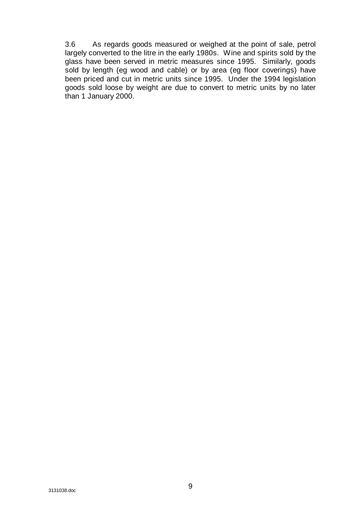3.6 As regards goods measured or weighed at the point of sale, petrol largely converted to the litre in the early 1980s. Wine and spirits sold by the glass have been served in metric measures since 1995. Similarly, goods sold by length (eg wood and cable) or by area (eg floor coverings) have been priced and cut in metric units since 1995. Under the 1994 legislation goods sold loose by weight are due to convert to metric units by no later than 1 January 2000.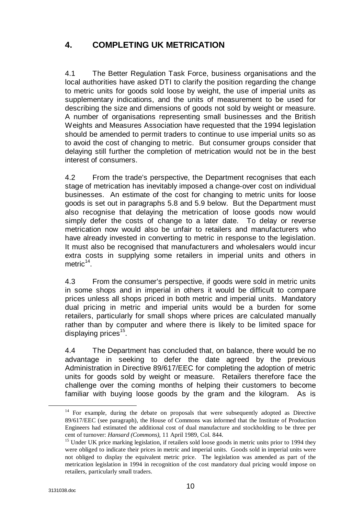# **4. COMPLETING UK METRICATION**

4.1 The Better Regulation Task Force, business organisations and the local authorities have asked DTI to clarify the position regarding the change to metric units for goods sold loose by weight, the use of imperial units as supplementary indications, and the units of measurement to be used for describing the size and dimensions of goods not sold by weight or measure. A number of organisations representing small businesses and the British Weights and Measures Association have requested that the 1994 legislation should be amended to permit traders to continue to use imperial units so as to avoid the cost of changing to metric. But consumer groups consider that delaying still further the completion of metrication would not be in the best interest of consumers.

4.2 From the trade's perspective, the Department recognises that each stage of metrication has inevitably imposed a change-over cost on individual businesses. An estimate of the cost for changing to metric units for loose goods is set out in paragraphs 5.8 and 5.9 below. But the Department must also recognise that delaying the metrication of loose goods now would simply defer the costs of change to a later date. To delay or reverse metrication now would also be unfair to retailers and manufacturers who have already invested in converting to metric in response to the legislation. It must also be recognised that manufacturers and wholesalers would incur extra costs in supplying some retailers in imperial units and others in metric<sup>14</sup>.

4.3 From the consumer's perspective, if goods were sold in metric units in some shops and in imperial in others it would be difficult to compare prices unless all shops priced in both metric and imperial units. Mandatory dual pricing in metric and imperial units would be a burden for some retailers, particularly for small shops where prices are calculated manually rather than by computer and where there is likely to be limited space for displaying prices<sup>15</sup>.

4.4 The Department has concluded that, on balance, there would be no advantage in seeking to defer the date agreed by the previous Administration in Directive 89/617/EEC for completing the adoption of metric units for goods sold by weight or measure. Retailers therefore face the challenge over the coming months of helping their customers to become familiar with buying loose goods by the gram and the kilogram. As is

 $14$  For example, during the debate on proposals that were subsequently adopted as Directive 89/617/EEC (see paragraph), the House of Commons was informed that the Institute of Production Engineers had estimated the additional cost of dual manufacture and stockholding to be three per cent of turnover: *Hansard (Commons)*, 11 April 1989, Col. 844.

<sup>&</sup>lt;sup>15</sup> Under UK price marking legislation, if retailers sold loose goods in metric units prior to 1994 they were obliged to indicate their prices in metric and imperial units. Goods sold in imperial units were not obliged to display the equivalent metric price. The legislation was amended as part of the metrication legislation in 1994 in recognition of the cost mandatory dual pricing would impose on retailers, particularly small traders.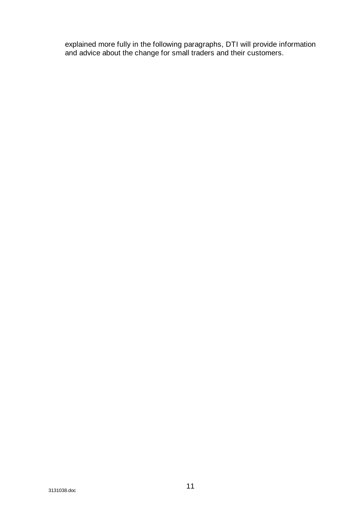explained more fully in the following paragraphs, DTI will provide information and advice about the change for small traders and their customers.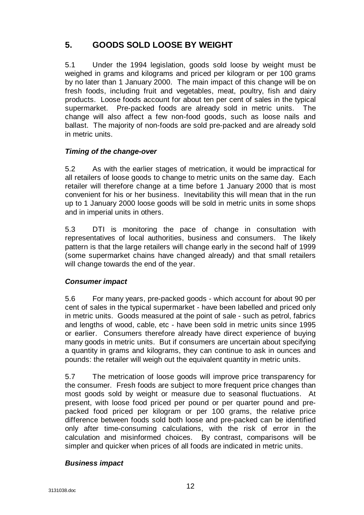# **5. GOODS SOLD LOOSE BY WEIGHT**

5.1 Under the 1994 legislation, goods sold loose by weight must be weighed in grams and kilograms and priced per kilogram or per 100 grams by no later than 1 January 2000. The main impact of this change will be on fresh foods, including fruit and vegetables, meat, poultry, fish and dairy products. Loose foods account for about ten per cent of sales in the typical supermarket. Pre-packed foods are already sold in metric units. The change will also affect a few non-food goods, such as loose nails and ballast. The majority of non-foods are sold pre-packed and are already sold in metric units.

### *Timing of the change-over*

5.2 As with the earlier stages of metrication, it would be impractical for all retailers of loose goods to change to metric units on the same day. Each retailer will therefore change at a time before 1 January 2000 that is most convenient for his or her business. Inevitability this will mean that in the run up to 1 January 2000 loose goods will be sold in metric units in some shops and in imperial units in others.

5.3 DTI is monitoring the pace of change in consultation with representatives of local authorities, business and consumers. The likely pattern is that the large retailers will change early in the second half of 1999 (some supermarket chains have changed already) and that small retailers will change towards the end of the year.

### *Consumer impact*

5.6 For many years, pre-packed goods - which account for about 90 per cent of sales in the typical supermarket - have been labelled and priced only in metric units. Goods measured at the point of sale - such as petrol, fabrics and lengths of wood, cable, etc - have been sold in metric units since 1995 or earlier. Consumers therefore already have direct experience of buying many goods in metric units. But if consumers are uncertain about specifying a quantity in grams and kilograms, they can continue to ask in ounces and pounds: the retailer will weigh out the equivalent quantity in metric units.

5.7 The metrication of loose goods will improve price transparency for the consumer. Fresh foods are subject to more frequent price changes than most goods sold by weight or measure due to seasonal fluctuations. At present, with loose food priced per pound or per quarter pound and prepacked food priced per kilogram or per 100 grams, the relative price difference between foods sold both loose and pre-packed can be identified only after time-consuming calculations, with the risk of error in the calculation and misinformed choices. By contrast, comparisons will be simpler and quicker when prices of all foods are indicated in metric units.

### *Business impact*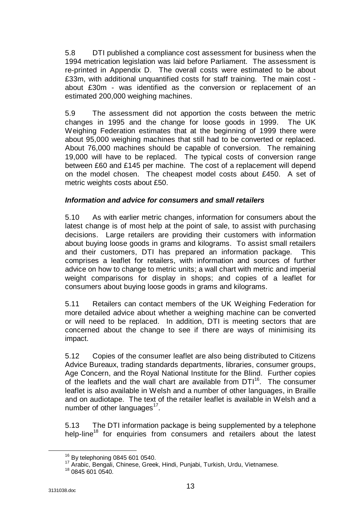5.8 DTI published a compliance cost assessment for business when the 1994 metrication legislation was laid before Parliament. The assessment is re-printed in Appendix D. The overall costs were estimated to be about £33m, with additional unquantified costs for staff training. The main cost about £30m - was identified as the conversion or replacement of an estimated 200,000 weighing machines.

5.9 The assessment did not apportion the costs between the metric changes in 1995 and the change for loose goods in 1999. The UK Weighing Federation estimates that at the beginning of 1999 there were about 95,000 weighing machines that still had to be converted or replaced. About 76,000 machines should be capable of conversion. The remaining 19,000 will have to be replaced. The typical costs of conversion range between £60 and £145 per machine. The cost of a replacement will depend on the model chosen. The cheapest model costs about £450. A set of metric weights costs about £50.

#### *Information and advice for consumers and small retailers*

5.10 As with earlier metric changes, information for consumers about the latest change is of most help at the point of sale, to assist with purchasing decisions. Large retailers are providing their customers with information about buying loose goods in grams and kilograms. To assist small retailers and their customers, DTI has prepared an information package. This comprises a leaflet for retailers, with information and sources of further advice on how to change to metric units; a wall chart with metric and imperial weight comparisons for display in shops; and copies of a leaflet for consumers about buying loose goods in grams and kilograms.

5.11 Retailers can contact members of the UK Weighing Federation for more detailed advice about whether a weighing machine can be converted or will need to be replaced. In addition, DTI is meeting sectors that are concerned about the change to see if there are ways of minimising its impact.

5.12 Copies of the consumer leaflet are also being distributed to Citizens Advice Bureaux, trading standards departments, libraries, consumer groups, Age Concern, and the Royal National Institute for the Blind. Further copies of the leaflets and the wall chart are available from  $DTI^{16}$ . The consumer leaflet is also available in Welsh and a number of other languages, in Braille and on audiotape. The text of the retailer leaflet is available in Welsh and a number of other languages $^{17}$ .

5.13 The DTI information package is being supplemented by a telephone help-line<sup>18</sup> for enquiries from consumers and retailers about the latest

 $16$  By telephoning 0845 601 0540.

<sup>&</sup>lt;sup>17</sup> Arabic, Bengali, Chinese, Greek, Hindi, Punjabi, Turkish, Urdu, Vietnamese.

 $18$  0845 601 0540.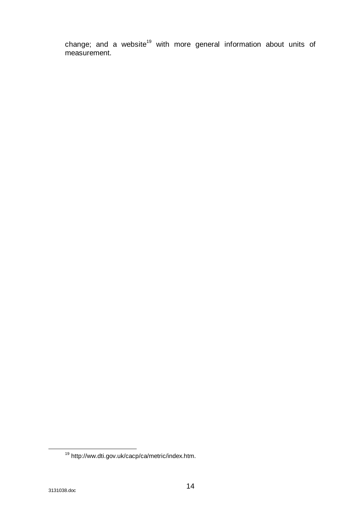change; and a website<sup>19</sup> with more general information about units of measurement.

<sup>19</sup> http://ww.dti.gov.uk/cacp/ca/metric/index.htm.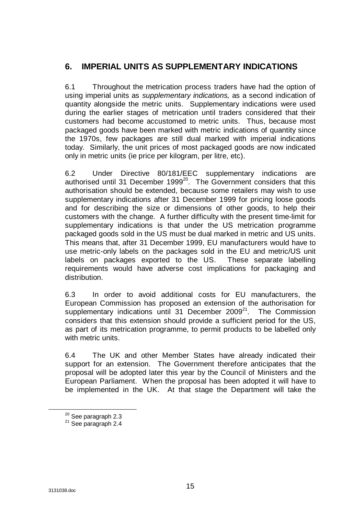# **6. IMPERIAL UNITS AS SUPPLEMENTARY INDICATIONS**

6.1 Throughout the metrication process traders have had the option of using imperial units as *supplementary indications,* as a second indication of quantity alongside the metric units. Supplementary indications were used during the earlier stages of metrication until traders considered that their customers had become accustomed to metric units. Thus, because most packaged goods have been marked with metric indications of quantity since the 1970s, few packages are still dual marked with imperial indications today. Similarly, the unit prices of most packaged goods are now indicated only in metric units (ie price per kilogram, per litre, etc).

6.2 Under Directive 80/181/EEC supplementary indications are authorised until 31 December 1999<sup>20</sup>. The Government considers that this authorisation should be extended, because some retailers may wish to use supplementary indications after 31 December 1999 for pricing loose goods and for describing the size or dimensions of other goods, to help their customers with the change. A further difficulty with the present time-limit for supplementary indications is that under the US metrication programme packaged goods sold in the US must be dual marked in metric and US units. This means that, after 31 December 1999, EU manufacturers would have to use metric-only labels on the packages sold in the EU and metric/US unit labels on packages exported to the US. These separate labelling requirements would have adverse cost implications for packaging and distribution.

6.3 In order to avoid additional costs for EU manufacturers, the European Commission has proposed an extension of the authorisation for supplementary indications until 31 December  $2009^{21}$ . The Commission considers that this extension should provide a sufficient period for the US, as part of its metrication programme, to permit products to be labelled only with metric units.

6.4 The UK and other Member States have already indicated their support for an extension. The Government therefore anticipates that the proposal will be adopted later this year by the Council of Ministers and the European Parliament. When the proposal has been adopted it will have to be implemented in the UK. At that stage the Department will take the

<sup>&</sup>lt;sup>20</sup> See paragraph 2.3

 $21$  See paragraph 2.4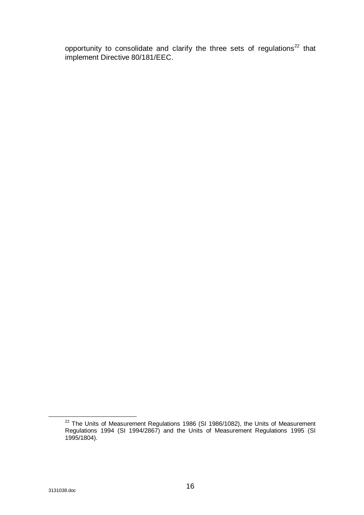opportunity to consolidate and clarify the three sets of regulations $^{22}$  that implement Directive 80/181/EEC.

<sup>&</sup>lt;sup>22</sup> The Units of Measurement Regulations 1986 (SI 1986/1082), the Units of Measurement Regulations 1994 (SI 1994/2867) and the Units of Measurement Regulations 1995 (SI 1995/1804).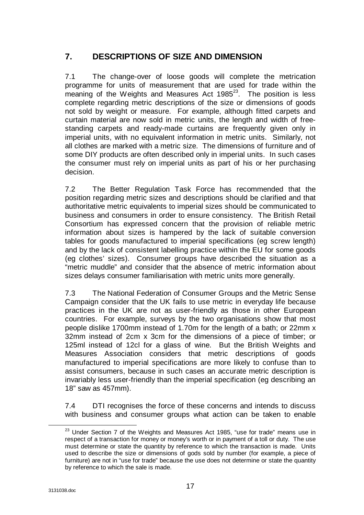# **7. DESCRIPTIONS OF SIZE AND DIMENSION**

7.1 The change-over of loose goods will complete the metrication programme for units of measurement that are used for trade within the meaning of the Weights and Measures Act  $1985^{23}$ . The position is less complete regarding metric descriptions of the size or dimensions of goods not sold by weight or measure. For example, although fitted carpets and curtain material are now sold in metric units, the length and width of freestanding carpets and ready-made curtains are frequently given only in imperial units, with no equivalent information in metric units. Similarly, not all clothes are marked with a metric size. The dimensions of furniture and of some DIY products are often described only in imperial units. In such cases the consumer must rely on imperial units as part of his or her purchasing decision.

7.2 The Better Regulation Task Force has recommended that the position regarding metric sizes and descriptions should be clarified and that authoritative metric equivalents to imperial sizes should be communicated to business and consumers in order to ensure consistency. The British Retail Consortium has expressed concern that the provision of reliable metric information about sizes is hampered by the lack of suitable conversion tables for goods manufactured to imperial specifications (eg screw length) and by the lack of consistent labelling practice within the EU for some goods (eg clothes' sizes). Consumer groups have described the situation as a "metric muddle" and consider that the absence of metric information about sizes delays consumer familiarisation with metric units more generally.

7.3 The National Federation of Consumer Groups and the Metric Sense Campaign consider that the UK fails to use metric in everyday life because practices in the UK are not as user-friendly as those in other European countries. For example, surveys by the two organisations show that most people dislike 1700mm instead of 1.70m for the length of a bath; or 22mm x 32mm instead of 2cm x 3cm for the dimensions of a piece of timber; or 125ml instead of 12cl for a glass of wine. But the British Weights and Measures Association considers that metric descriptions of goods manufactured to imperial specifications are more likely to confuse than to assist consumers, because in such cases an accurate metric description is invariably less user-friendly than the imperial specification (eg describing an 18" saw as 457mm).

7.4 DTI recognises the force of these concerns and intends to discuss with business and consumer groups what action can be taken to enable

 $23$  Under Section 7 of the Weights and Measures Act 1985, "use for trade" means use in respect of a transaction for money or money's worth or in payment of a toll or duty. The use must determine or state the quantity by reference to which the transaction is made. Units used to describe the size or dimensions of gods sold by number (for example, a piece of furniture) are not in "use for trade" because the use does not determine or state the quantity by reference to which the sale is made.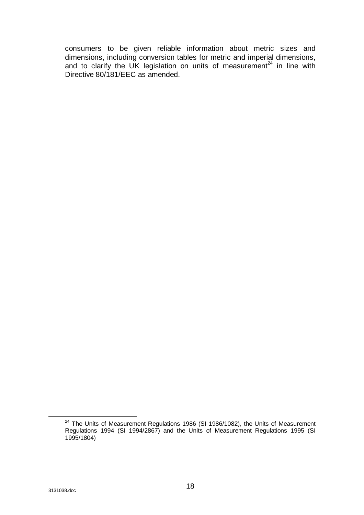consumers to be given reliable information about metric sizes and dimensions, including conversion tables for metric and imperial dimensions, and to clarify the UK legislation on units of measurement $24$  in line with Directive 80/181/EEC as amended.

 $24$  The Units of Measurement Regulations 1986 (SI 1986/1082), the Units of Measurement Regulations 1994 (SI 1994/2867) and the Units of Measurement Regulations 1995 (SI 1995/1804)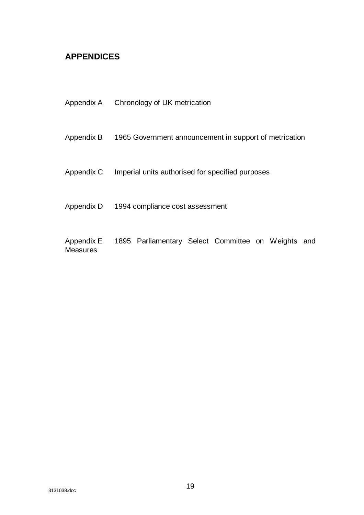# **APPENDICES**

- Appendix B 1965 Government announcement in support of metrication Appendix C Imperial units authorised for specified purposes
- Appendix D 1994 compliance cost assessment

Appendix A Chronology of UK metrication

Appendix E 1895 Parliamentary Select Committee on Weights and Measures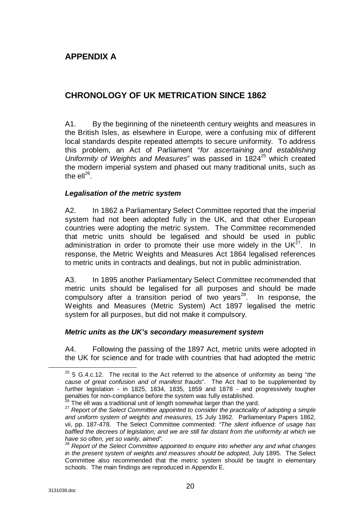# **APPENDIX A**

### **CHRONOLOGY OF UK METRICATION SINCE 1862**

A1. By the beginning of the nineteenth century weights and measures in the British Isles, as elsewhere in Europe, were a confusing mix of different local standards despite repeated attempts to secure uniformity. To address this problem, an Act of Parliament "*for ascertaining and establishing Uniformity of Weights and Measures*" was passed in 1824<sup>25</sup> which created the modern imperial system and phased out many traditional units, such as the ell $^{26}$ .

#### *Legalisation of the metric system*

A2. In 1862 a Parliamentary Select Committee reported that the imperial system had not been adopted fully in the UK, and that other European countries were adopting the metric system. The Committee recommended that metric units should be legalised and should be used in public administration in order to promote their use more widely in the  $UK^{27}$ . In response, the Metric Weights and Measures Act 1864 legalised references to metric units in contracts and dealings, but not in public administration.

A3. In 1895 another Parliamentary Select Committee recommended that metric units should be legalised for all purposes and should be made compulsory after a transition period of two years<sup>28</sup>. In response, the Weights and Measures (Metric System) Act 1897 legalised the metric system for all purposes, but did not make it compulsory.

#### *Metric units as the UK's secondary measurement system*

A4. Following the passing of the 1897 Act, metric units were adopted in the UK for science and for trade with countries that had adopted the metric

<sup>25</sup> 5 G.4.c.12. The recital to the Act referred to the absence of uniformity as being "*the cause of great confusion and of manifest frauds*". The Act had to be supplemented by further legislation - in 1825, 1834, 1835, 1859 and 1878 - and progressively tougher penalties for non-compliance before the system was fully established.

 $6$  The ell was a traditional unit of length somewhat larger than the yard.

<sup>&</sup>lt;sup>27</sup> Report of the Select Committee appointed to consider the practicality of adopting a simple *and uniform system of weights and measures,* 15 July 1862. Parliamentary Papers 1862, vii, pp. 187-478. The Select Committee commented: *"The silent influence of usage has baffled the decrees of legislation; and we are still far distant from the uniformity at which we have so often, yet so vainly, aimed".*

<sup>28</sup> *Report of the Select Committee appointed to enquire into whether any and what changes in the present system of weights and measures should be adopted*, July 1895. The Select Committee also recommended that the metric system should be taught in elementary schools. The main findings are reproduced in Appendix E.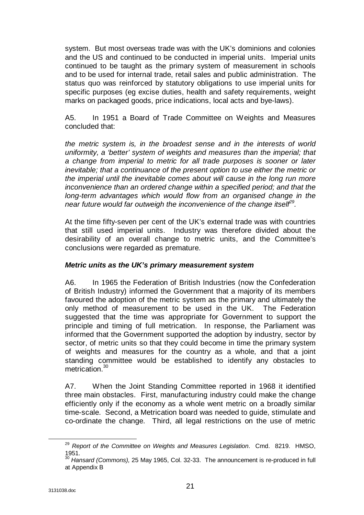system. But most overseas trade was with the UK's dominions and colonies and the US and continued to be conducted in imperial units. Imperial units continued to be taught as the primary system of measurement in schools and to be used for internal trade, retail sales and public administration. The status quo was reinforced by statutory obligations to use imperial units for specific purposes (eg excise duties, health and safety requirements, weight marks on packaged goods, price indications, local acts and bye-laws).

A5. In 1951 a Board of Trade Committee on Weights and Measures concluded that:

*the metric system is, in the broadest sense and in the interests of world uniformity, a 'better' system of weights and measures than the imperial; that a change from imperial to metric for all trade purposes is sooner or later inevitable; that a continuance of the present option to use either the metric or the imperial until the inevitable comes about will cause in the long run more inconvenience than an ordered change within a specified period; and that the long-term advantages which would flow from an organised change in the near future would far outweigh the inconvenience of the change itself<sup>29</sup> .*

At the time fifty-seven per cent of the UK's external trade was with countries that still used imperial units. Industry was therefore divided about the desirability of an overall change to metric units, and the Committee's conclusions were regarded as premature.

### *Metric units as the UK's primary measurement system*

A6. In 1965 the Federation of British Industries (now the Confederation of British Industry) informed the Government that a majority of its members favoured the adoption of the metric system as the primary and ultimately the only method of measurement to be used in the UK. The Federation suggested that the time was appropriate for Government to support the principle and timing of full metrication. In response, the Parliament was informed that the Government supported the adoption by industry, sector by sector, of metric units so that they could become in time the primary system of weights and measures for the country as a whole, and that a joint standing committee would be established to identify any obstacles to metrication.<sup>30</sup>

A7. When the Joint Standing Committee reported in 1968 it identified three main obstacles. First, manufacturing industry could make the change efficiently only if the economy as a whole went metric on a broadly similar time-scale. Second, a Metrication board was needed to guide, stimulate and co-ordinate the change. Third, all legal restrictions on the use of metric

<sup>29</sup> *Report of the Committee on Weights and Measures Legislation*. Cmd. 8219. HMSO, 1951.

<sup>30</sup> *Hansard (Commons),* 25 May 1965, Col. 32-33. The announcement is re-produced in full at Appendix B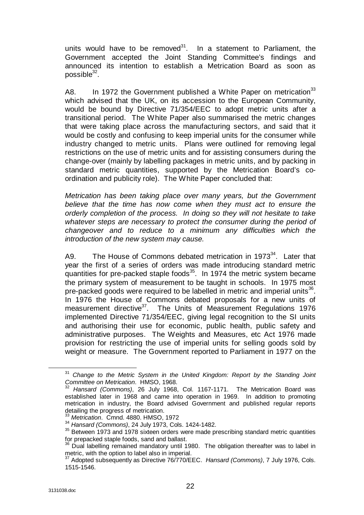units would have to be removed $31$ . In a statement to Parliament, the Government accepted the Joint Standing Committee's findings and announced its intention to establish a Metrication Board as soon as possible $32$ .

A8. In 1972 the Government published a White Paper on metrication<sup>33</sup> which advised that the UK, on its accession to the European Community, would be bound by Directive 71/354/EEC to adopt metric units after a transitional period. The White Paper also summarised the metric changes that were taking place across the manufacturing sectors, and said that it would be costly and confusing to keep imperial units for the consumer while industry changed to metric units. Plans were outlined for removing legal restrictions on the use of metric units and for assisting consumers during the change-over (mainly by labelling packages in metric units, and by packing in standard metric quantities, supported by the Metrication Board's coordination and publicity role). The White Paper concluded that:

*Metrication has been taking place over many years, but the Government believe that the time has now come when they must act to ensure the orderly completion of the process. In doing so they will not hesitate to take whatever steps are necessary to protect the consumer during the period of changeover and to reduce to a minimum any difficulties which the introduction of the new system may cause.*

A9. The House of Commons debated metrication in  $1973^{34}$ . Later that year the first of a series of orders was made introducing standard metric quantities for pre-packed staple foods<sup>35</sup>. In 1974 the metric system became the primary system of measurement to be taught in schools. In 1975 most pre-packed goods were required to be labelled in metric and imperial units $36$ . In 1976 the House of Commons debated proposals for a new units of measurement directive<sup>37</sup>. The Units of Measurement Regulations 1976 implemented Directive 71/354/EEC, giving legal recognition to the SI units and authorising their use for economic, public health, public safety and administrative purposes. The Weights and Measures, etc Act 1976 made provision for restricting the use of imperial units for selling goods sold by weight or measure. The Government reported to Parliament in 1977 on the

<sup>31</sup> *Change to the Metric System in the United Kingdom: Report by the Standing Joint Committee on Metrication*. HMSO, 1968.

<sup>32</sup> *Hansard (Commons)*, 26 July 1968, Col. 1167-1171. The Metrication Board was established later in 1968 and came into operation in 1969. In addition to promoting metrication in industry, the Board advised Government and published regular reports detailing the progress of metrication.

<sup>33</sup> *Metrication*. Cmnd. 4880. HMSO, 1972

<sup>34</sup> *Hansard (Commons)*, 24 July 1973, Cols. 1424-1482.

<sup>&</sup>lt;sup>35</sup> Between 1973 and 1978 sixteen orders were made prescribing standard metric quantities for prepacked staple foods, sand and ballast.

<sup>&</sup>lt;sup>36</sup> Dual labelling remained mandatory until 1980. The obligation thereafter was to label in metric, with the option to label also in imperial.

<sup>37</sup> Adopted subsequently as Directive 76/770/EEC. *Hansard (Commons)*, 7 July 1976, Cols. 1515-1546.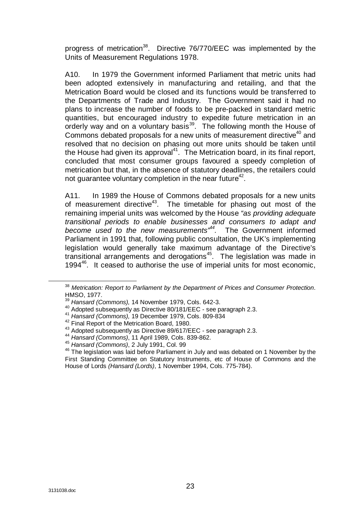progress of metrication<sup>38</sup>. Directive 76/770/EEC was implemented by the Units of Measurement Regulations 1978.

A10. In 1979 the Government informed Parliament that metric units had been adopted extensively in manufacturing and retailing, and that the Metrication Board would be closed and its functions would be transferred to the Departments of Trade and Industry. The Government said it had no plans to increase the number of foods to be pre-packed in standard metric quantities, but encouraged industry to expedite future metrication in an orderly way and on a voluntary basis<sup>39</sup>. The following month the House of Commons debated proposals for a new units of measurement directive<sup>40</sup> and resolved that no decision on phasing out more units should be taken until the House had given its approval<sup>41</sup>. The Metrication board, in its final report, concluded that most consumer groups favoured a speedy completion of metrication but that, in the absence of statutory deadlines, the retailers could not guarantee voluntary completion in the near future<sup>42</sup>.

A11. In 1989 the House of Commons debated proposals for a new units of measurement directive<sup>43</sup>. The timetable for phasing out most of the remaining imperial units was welcomed by the House *"as providing adequate transitional periods to enable businesses and consumers to adapt and become used to the new measurements" 44 .* The Government informed Parliament in 1991 that, following public consultation, the UK's implementing legislation would generally take maximum advantage of the Directive's transitional arrangements and derogations<sup>45</sup>. The legislation was made in 1994 $46$ . It ceased to authorise the use of imperial units for most economic,

<sup>38</sup> *Metrication: Report to Parliament by the Department of Prices and Consumer Protection*. HMSO, 1977.

<sup>39</sup> *Hansard (Commons),* 14 November 1979, Cols. 642-3.

<sup>40</sup> Adopted subsequently as Directive 80/181/EEC - see paragraph 2.3.

<sup>41</sup> *Hansard (Commons),* 19 December 1979, Cols. 809-834

<sup>&</sup>lt;sup>42</sup> Final Report of the Metrication Board, 1980.

<sup>&</sup>lt;sup>43</sup> Adopted subsequently as Directive 89/617/EEC - see paragraph 2.3.

<sup>44</sup> *Hansard (Commons)*, 11 April 1989, Cols. 839-862.

<sup>45</sup> *Hansard (Commons)*, 2 July 1991, Col. 99

<sup>46</sup> The legislation was laid before Parliament in July and was debated on 1 November by the First Standing Committee on Statutory Instruments, etc of House of Commons and the House of Lords *(Hansard (Lords)*, 1 November 1994, Cols. 775-784).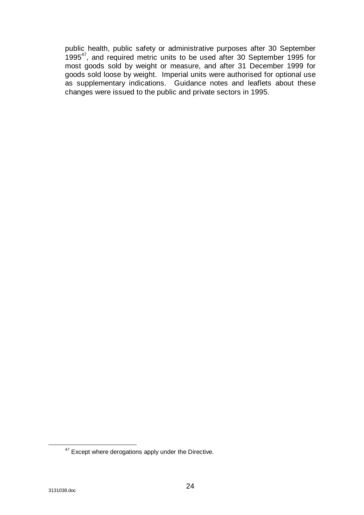public health, public safety or administrative purposes after 30 September 1995<sup>47</sup>, and required metric units to be used after 30 September 1995 for most goods sold by weight or measure, and after 31 December 1999 for goods sold loose by weight. Imperial units were authorised for optional use as supplementary indications. Guidance notes and leaflets about these changes were issued to the public and private sectors in 1995.

<sup>&</sup>lt;sup>47</sup> Except where derogations apply under the Directive.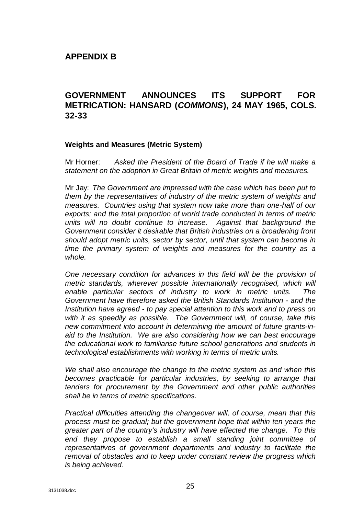### **GOVERNMENT ANNOUNCES ITS SUPPORT FOR METRICATION: HANSARD (***COMMONS***), 24 MAY 1965, COLS. 32-33**

### **Weights and Measures (Metric System)**

Mr Horner: *Asked the President of the Board of Trade if he will make a statement on the adoption in Great Britain of metric weights and measures.*

Mr Jay: *The Government are impressed with the case which has been put to them by the representatives of industry of the metric system of weights and measures. Countries using that system now take more than one-half of our exports; and the total proportion of world trade conducted in terms of metric units will no doubt continue to increase. Against that background the Government consider it desirable that British industries on a broadening front should adopt metric units, sector by sector, until that system can become in time the primary system of weights and measures for the country as a whole.*

*One necessary condition for advances in this field will be the provision of metric standards, wherever possible internationally recognised, which will enable particular sectors of industry to work in metric units. The Government have therefore asked the British Standards Institution - and the Institution have agreed - to pay special attention to this work and to press on with it as speedily as possible. The Government will, of course, take this new commitment into account in determining the amount of future grants-inaid to the Institution. We are also considering how we can best encourage the educational work to familiarise future school generations and students in technological establishments with working in terms of metric units.*

*We shall also encourage the change to the metric system as and when this becomes practicable for particular industries, by seeking to arrange that tenders for procurement by the Government and other public authorities shall be in terms of metric specifications.*

*Practical difficulties attending the changeover will, of course, mean that this process must be gradual; but the government hope that within ten years the greater part of the country's industry will have effected the change. To this end they propose to establish a small standing joint committee of representatives of government departments and industry to facilitate the removal of obstacles and to keep under constant review the progress which is being achieved.*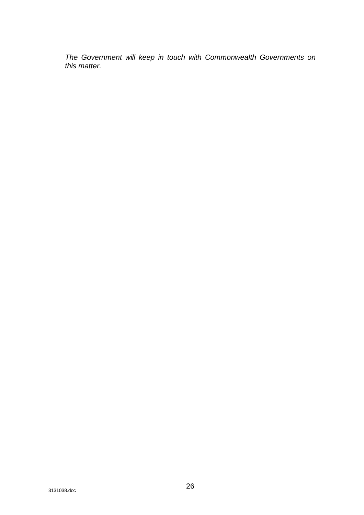*The Government will keep in touch with Commonwealth Governments on this matter.*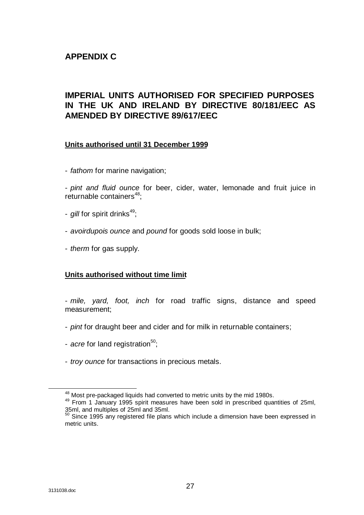# **APPENDIX C**

### **IMPERIAL UNITS AUTHORISED FOR SPECIFIED PURPOSES IN THE UK AND IRELAND BY DIRECTIVE 80/181/EEC AS AMENDED BY DIRECTIVE 89/617/EEC**

#### **Units authorised until 31 December 1999**

- *fathom* for marine navigation;

- *pint and fluid ounce* for beer, cider, water, lemonade and fruit juice in  $r$ eturnable containers<sup>48</sup>;

- *gill* for spirit drinks<sup>49</sup>;
- *avoirdupois ounce* and *pound* for goods sold loose in bulk;
- *therm* for gas supply.

#### **Units authorised without time limit**

- *mile, yard, foot, inch* for road traffic signs, distance and speed measurement;

- *pint* for draught beer and cider and for milk in returnable containers;
- *acre* for land registration<sup>50</sup>:
- *troy ounce* for transactions in precious metals.

<sup>&</sup>lt;sup>48</sup> Most pre-packaged liquids had converted to metric units by the mid 1980s.

<sup>&</sup>lt;sup>49</sup> From 1 January 1995 spirit measures have been sold in prescribed quantities of 25ml, 35ml, and multiples of 25ml and 35ml.

 $50$  Since 1995 any registered file plans which include a dimension have been expressed in metric units.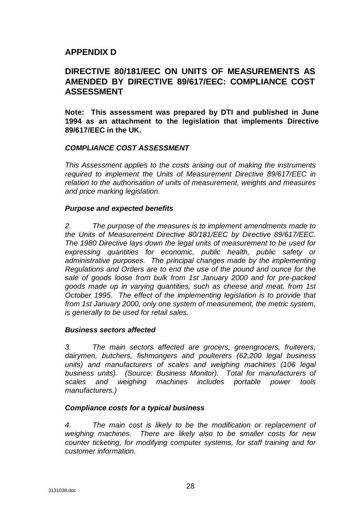### **APPENDIX D**

### **DIRECTIVE 80/181/EEC ON UNITS OF MEASUREMENTS AS AMENDED BY DIRECTIVE 89/617/EEC: COMPLIANCE COST ASSESSMENT**

**Note: This assessment was prepared by DTI and published in June 1994 as an attachment to the legislation that implements Directive 89/617/EEC in the UK.**

### *COMPLIANCE COST ASSESSMENT*

*This Assessment applies to the costs arising out of making the instruments required to implement the Units of Measurement Directive 89/617/EEC in relation to the authorisation of units of measurement, weights and measures and price marking legislation.*

#### *Purpose and expected benefits*

*2. The purpose of the measures is to implement amendments made to the Units of Measurement Directive 80/181/EEC by Directive 89/617/EEC. The 1980 Directive lays down the legal units of measurement to be used for expressing quantities for economic, public health, public safety or administrative purposes. The principal changes made by the implementing Regulations and Orders are to end the use of the pound and ounce for the sale of goods loose from bulk from 1st January 2000 and for pre-packed goods made up in varying quantities, such as cheese and meat, from 1st October 1995. The effect of the implementing legislation is to provide that from 1st January 2000, only one system of measurement, the metric system, is generally to be used for retail sales.*

#### *Business sectors affected*

*3. The main sectors affected are grocers, greengrocers, fruiterers, dairymen, butchers, fishmongers and poulterers (62,200 legal business units) and manufacturers of scales and weighing machines (106 legal business units). (Source: Business Monitor). Total for manufacturers of scales and weighing machines includes portable power tools manufacturers.)*

#### *Compliance costs for a typical business*

*4. The main cost is likely to be the modification or replacement of weighing machines. There are likely also to be smaller costs for new counter ticketing, for modifying computer systems, for staff training and for customer information.*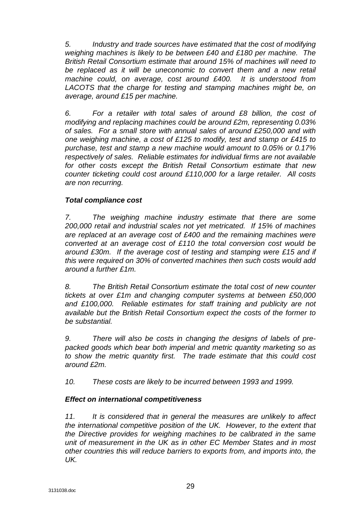*5. Industry and trade sources have estimated that the cost of modifying weighing machines is likely to be between £40 and £180 per machine. The British Retail Consortium estimate that around 15% of machines will need to be replaced as it will be uneconomic to convert them and a new retail machine could, on average, cost around £400. It is understood from LACOTS that the charge for testing and stamping machines might be, on average, around £15 per machine.*

*6. For a retailer with total sales of around £8 billion, the cost of modifying and replacing machines could be around £2m, representing 0.03% of sales. For a small store with annual sales of around £250,000 and with one weighing machine, a cost of £125 to modify, test and stamp or £415 to purchase, test and stamp a new machine would amount to 0.05% or 0.17% respectively of sales. Reliable estimates for individual firms are not available for other costs except the British Retail Consortium estimate that new counter ticketing could cost around £110,000 for a large retailer. All costs are non recurring.*

### *Total compliance cost*

*7. The weighing machine industry estimate that there are some 200,000 retail and industrial scales not yet metricated. If 15% of machines are replaced at an average cost of £400 and the remaining machines were converted at an average cost of £110 the total conversion cost would be around £30m. If the average cost of testing and stamping were £15 and if this were required on 30% of converted machines then such costs would add around a further £1m.*

*8. The British Retail Consortium estimate the total cost of new counter tickets at over £1m and changing computer systems at between £50,000 and £100,000. Reliable estimates for staff training and publicity are not available but the British Retail Consortium expect the costs of the former to be substantial.*

*9. There will also be costs in changing the designs of labels of prepacked goods which bear both imperial and metric quantity marketing so as to show the metric quantity first. The trade estimate that this could cost around £2m.*

*10. These costs are likely to be incurred between 1993 and 1999.*

### *Effect on international competitiveness*

*11. It is considered that in general the measures are unlikely to affect the international competitive position of the UK. However, to the extent that the Directive provides for weighing machines to be calibrated in the same unit of measurement in the UK as in other EC Member States and in most other countries this will reduce barriers to exports from, and imports into, the UK.*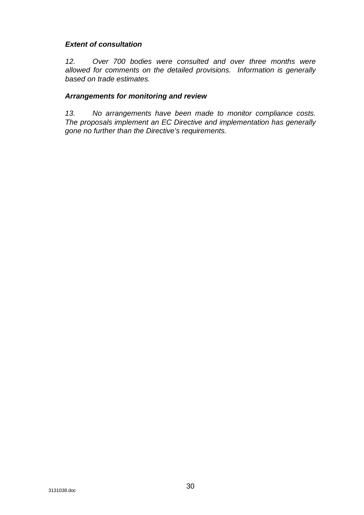### *Extent of consultation*

*12. Over 700 bodies were consulted and over three months were allowed for comments on the detailed provisions. Information is generally based on trade estimates.*

#### *Arrangements for monitoring and review*

*13. No arrangements have been made to monitor compliance costs. The proposals implement an EC Directive and implementation has generally gone no further than the Directive's requirements.*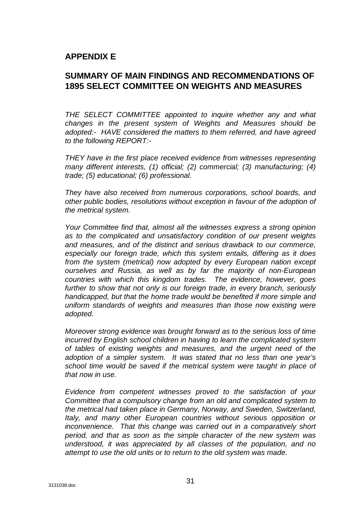### **APPENDIX E**

### **SUMMARY OF MAIN FINDINGS AND RECOMMENDATIONS OF 1895 SELECT COMMITTEE ON WEIGHTS AND MEASURES**

*THE SELECT COMMITTEE appointed to inquire whether any and what changes in the present system of Weights and Measures should be adopted:- HAVE considered the matters to them referred, and have agreed to the following REPORT:-*

*THEY have in the first place received evidence from witnesses representing many different interests, (1) official; (2) commercial; (3) manufacturing; (4) trade; (5) educational; (6) professional.*

*They have also received from numerous corporations, school boards, and other public bodies, resolutions without exception in favour of the adoption of the metrical system.*

*Your Committee find that, almost all the witnesses express a strong opinion as to the complicated and unsatisfactory condition of our present weights and measures, and of the distinct and serious drawback to our commerce, especially our foreign trade, which this system entails, differing as it does from the system (metrical) now adopted by every European nation except ourselves and Russia, as well as by far the majority of non-European countries with which this kingdom trades. The evidence, however, goes further to show that not only is our foreign trade, in every branch, seriously handicapped, but that the home trade would be benefited if more simple and uniform standards of weights and measures than those now existing were adopted.*

*Moreover strong evidence was brought forward as to the serious loss of time incurred by English school children in having to learn the complicated system of tables of existing weights and measures, and the urgent need of the adoption of a simpler system. It was stated that no less than one year's school time would be saved if the metrical system were taught in place of that now in use.*

*Evidence from competent witnesses proved to the satisfaction of your Committee that a compulsory change from an old and complicated system to the metrical had taken place in Germany, Norway, and Sweden, Switzerland, Italy, and many other European countries without serious opposition or inconvenience. That this change was carried out in a comparatively short period, and that as soon as the simple character of the new system was understood, it was appreciated by all classes of the population, and no attempt to use the old units or to return to the old system was made.*